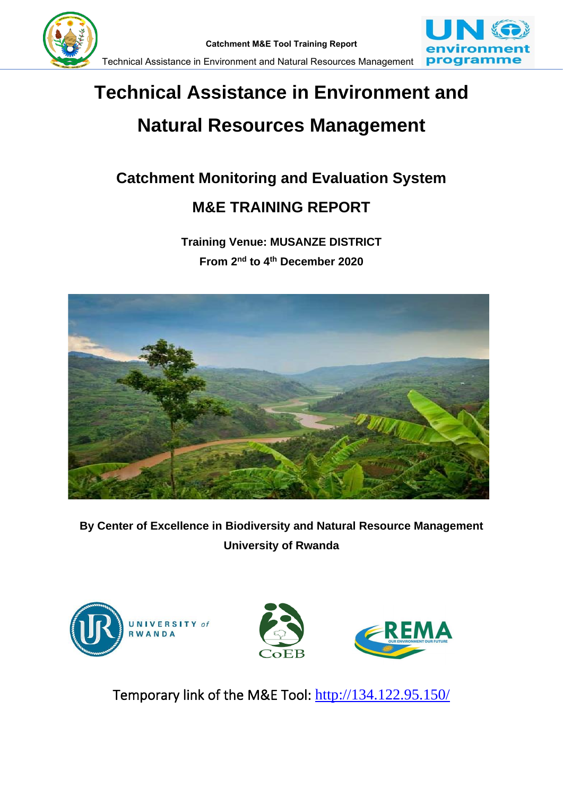



# **Technical Assistance in Environment and Natural Resources Management**

# **Catchment Monitoring and Evaluation System**

# **M&E TRAINING REPORT**

**Training Venue: MUSANZE DISTRICT From 2nd to 4th December 2020**



**By Center of Excellence in Biodiversity and Natural Resource Management University of Rwanda**



Temporary link of the M&E Tool: <http://134.122.95.150/>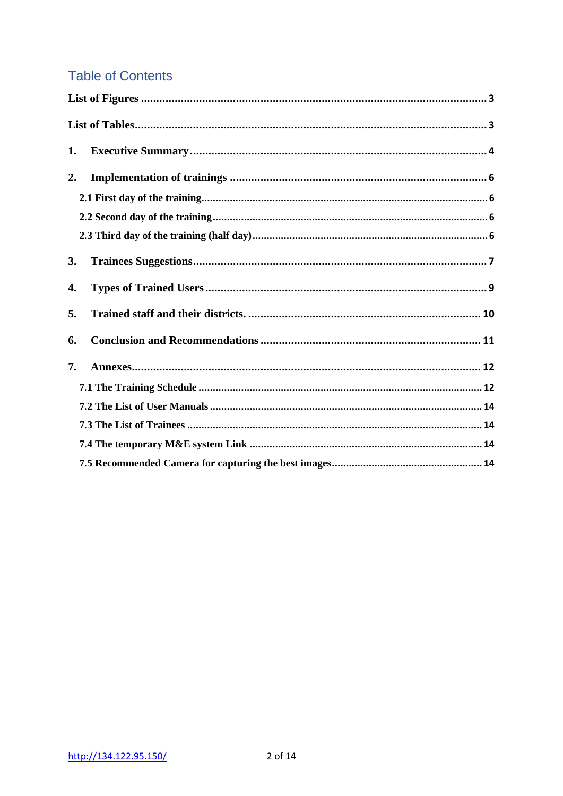# **Table of Contents**

| 1. |
|----|
| 2. |
|    |
|    |
|    |
| 3. |
| 4. |
| 5. |
| 6. |
| 7. |
|    |
|    |
|    |
|    |
|    |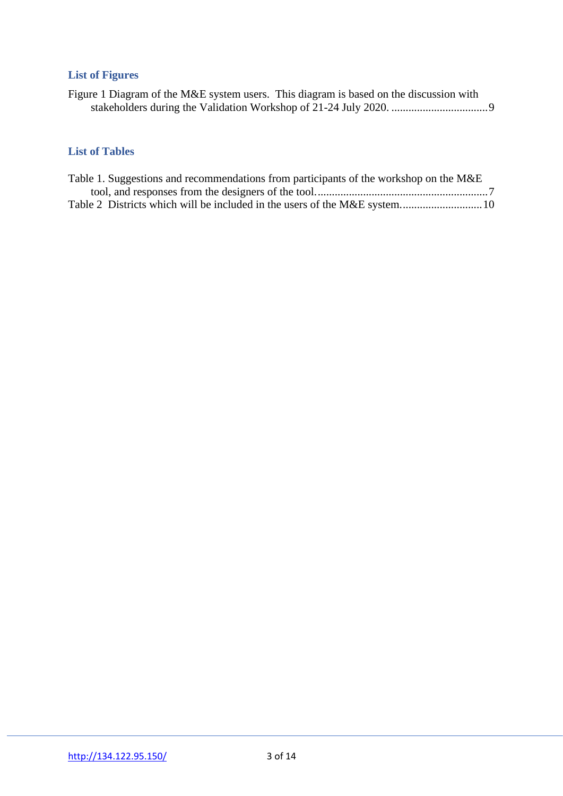# <span id="page-2-0"></span>**List of Figures**

| Figure 1 Diagram of the M&E system users. This diagram is based on the discussion with |  |
|----------------------------------------------------------------------------------------|--|
|                                                                                        |  |

# <span id="page-2-1"></span>**List of Tables**

| Table 1. Suggestions and recommendations from participants of the workshop on the M&E |  |
|---------------------------------------------------------------------------------------|--|
|                                                                                       |  |
|                                                                                       |  |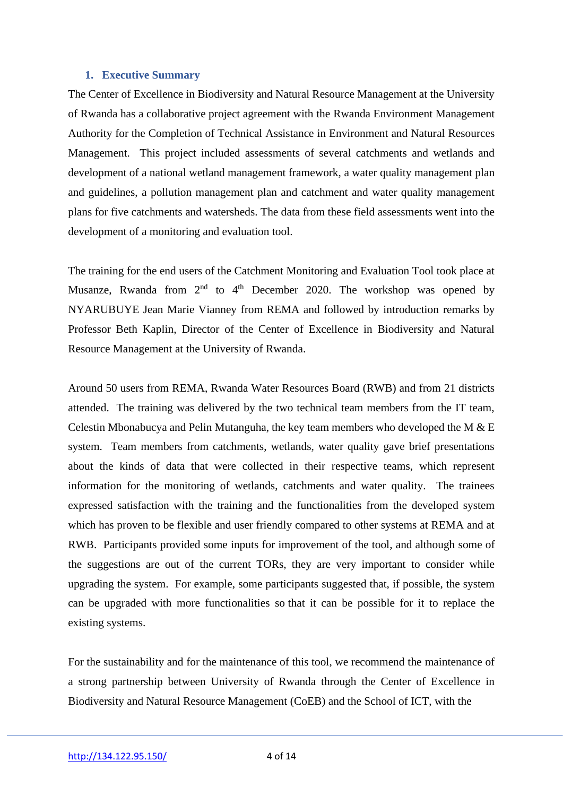#### <span id="page-3-0"></span>**1. Executive Summary**

The Center of Excellence in Biodiversity and Natural Resource Management at the University of Rwanda has a collaborative project agreement with the Rwanda Environment Management Authority for the Completion of Technical Assistance in Environment and Natural Resources Management. This project included assessments of several catchments and wetlands and development of a national wetland management framework, a water quality management plan and guidelines, a pollution management plan and catchment and water quality management plans for five catchments and watersheds. The data from these field assessments went into the development of a monitoring and evaluation tool.

The training for the end users of the Catchment Monitoring and Evaluation Tool took place at Musanze, Rwanda from  $2<sup>nd</sup>$  to  $4<sup>th</sup>$  December 2020. The workshop was opened by NYARUBUYE Jean Marie Vianney from REMA and followed by introduction remarks by Professor Beth Kaplin, Director of the Center of Excellence in Biodiversity and Natural Resource Management at the University of Rwanda.

Around 50 users from REMA, Rwanda Water Resources Board (RWB) and from 21 districts attended. The training was delivered by the two technical team members from the IT team, Celestin Mbonabucya and Pelin Mutanguha, the key team members who developed the M & E system. Team members from catchments, wetlands, water quality gave brief presentations about the kinds of data that were collected in their respective teams, which represent information for the monitoring of wetlands, catchments and water quality. The trainees expressed satisfaction with the training and the functionalities from the developed system which has proven to be flexible and user friendly compared to other systems at REMA and at RWB. Participants provided some inputs for improvement of the tool, and although some of the suggestions are out of the current TORs, they are very important to consider while upgrading the system. For example, some participants suggested that, if possible, the system can be upgraded with more functionalities so that it can be possible for it to replace the existing systems.

For the sustainability and for the maintenance of this tool, we recommend the maintenance of a strong partnership between University of Rwanda through the Center of Excellence in Biodiversity and Natural Resource Management (CoEB) and the School of ICT, with the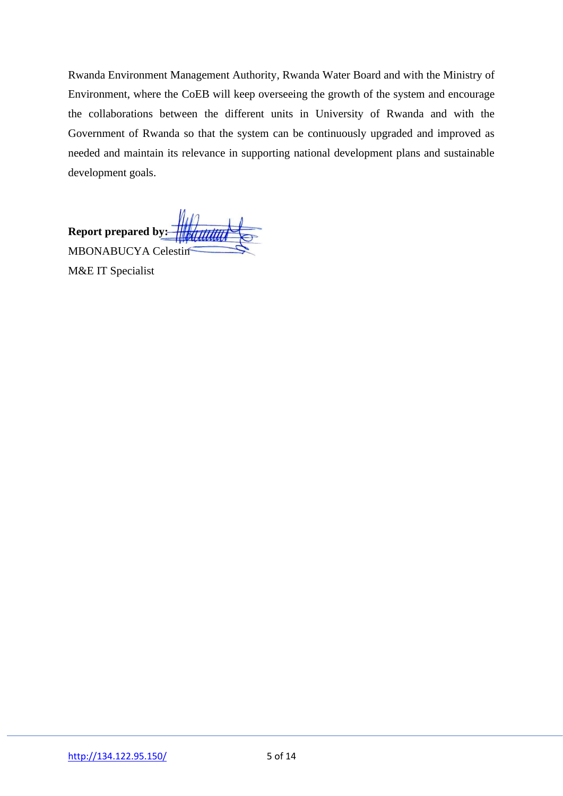Rwanda Environment Management Authority, Rwanda Water Board and with the Ministry of Environment, where the CoEB will keep overseeing the growth of the system and encourage the collaborations between the different units in University of Rwanda and with the Government of Rwanda so that the system can be continuously upgraded and improved as needed and maintain its relevance in supporting national development plans and sustainable development goals.

**Report prepared by:** MBONABUCYA Celestin

M&E IT Specialist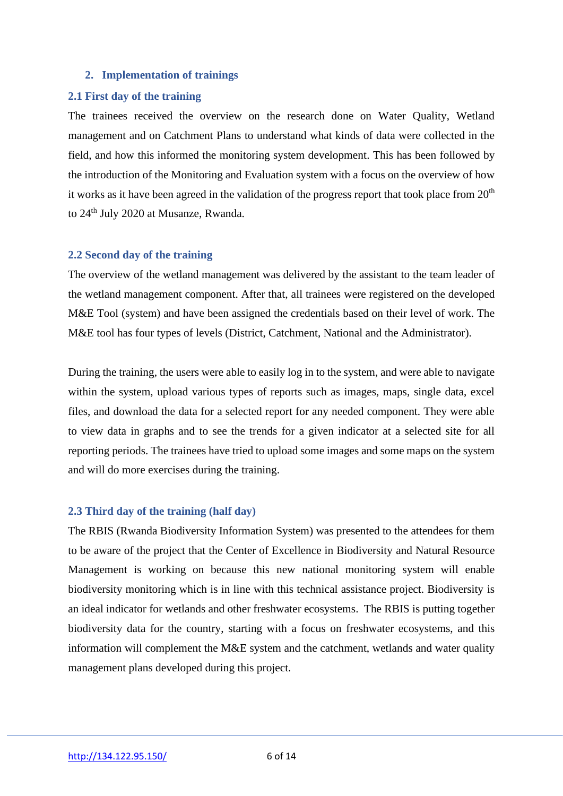#### <span id="page-5-0"></span>**2. Implementation of trainings**

#### <span id="page-5-1"></span>**2.1 First day of the training**

The trainees received the overview on the research done on Water Quality, Wetland management and on Catchment Plans to understand what kinds of data were collected in the field, and how this informed the monitoring system development. This has been followed by the introduction of the Monitoring and Evaluation system with a focus on the overview of how it works as it have been agreed in the validation of the progress report that took place from  $20<sup>th</sup>$ to 24<sup>th</sup> July 2020 at Musanze, Rwanda.

#### <span id="page-5-2"></span>**2.2 Second day of the training**

The overview of the wetland management was delivered by the assistant to the team leader of the wetland management component. After that, all trainees were registered on the developed M&E Tool (system) and have been assigned the credentials based on their level of work. The M&E tool has four types of levels (District, Catchment, National and the Administrator).

During the training, the users were able to easily log in to the system, and were able to navigate within the system, upload various types of reports such as images, maps, single data, excel files, and download the data for a selected report for any needed component. They were able to view data in graphs and to see the trends for a given indicator at a selected site for all reporting periods. The trainees have tried to upload some images and some maps on the system and will do more exercises during the training.

#### <span id="page-5-3"></span>**2.3 Third day of the training (half day)**

The RBIS (Rwanda Biodiversity Information System) was presented to the attendees for them to be aware of the project that the Center of Excellence in Biodiversity and Natural Resource Management is working on because this new national monitoring system will enable biodiversity monitoring which is in line with this technical assistance project. Biodiversity is an ideal indicator for wetlands and other freshwater ecosystems. The RBIS is putting together biodiversity data for the country, starting with a focus on freshwater ecosystems, and this information will complement the M&E system and the catchment, wetlands and water quality management plans developed during this project.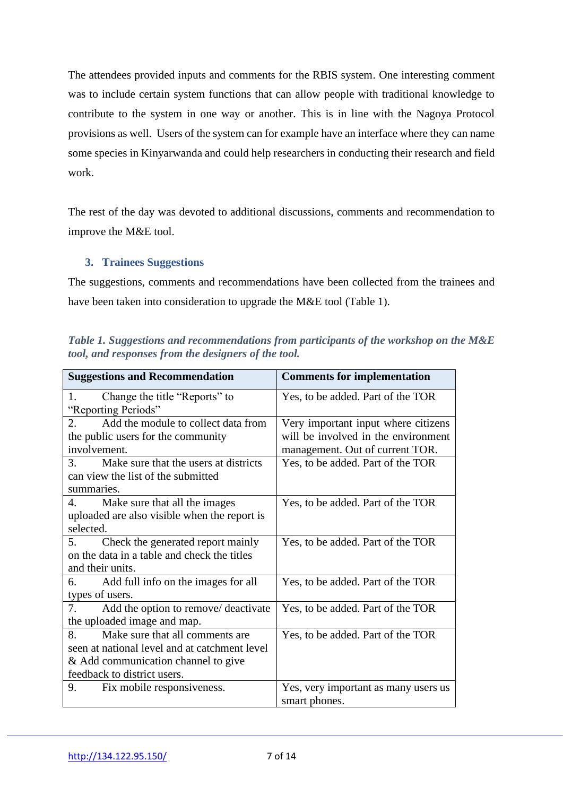The attendees provided inputs and comments for the RBIS system. One interesting comment was to include certain system functions that can allow people with traditional knowledge to contribute to the system in one way or another. This is in line with the Nagoya Protocol provisions as well. Users of the system can for example have an interface where they can name some species in Kinyarwanda and could help researchers in conducting their research and field work.

The rest of the day was devoted to additional discussions, comments and recommendation to improve the M&E tool.

## <span id="page-6-0"></span>**3. Trainees Suggestions**

The suggestions, comments and recommendations have been collected from the trainees and have been taken into consideration to upgrade the M&E tool (Table 1).

<span id="page-6-1"></span>*Table 1. Suggestions and recommendations from participants of the workshop on the M&E tool, and responses from the designers of the tool.*

| <b>Suggestions and Recommendation</b>         | <b>Comments for implementation</b>   |  |  |
|-----------------------------------------------|--------------------------------------|--|--|
| Change the title "Reports" to<br>1.           | Yes, to be added. Part of the TOR    |  |  |
| "Reporting Periods"                           |                                      |  |  |
| Add the module to collect data from<br>2.     | Very important input where citizens  |  |  |
| the public users for the community            | will be involved in the environment  |  |  |
| involvement.                                  | management. Out of current TOR.      |  |  |
| Make sure that the users at districts<br>3.   | Yes, to be added. Part of the TOR    |  |  |
| can view the list of the submitted            |                                      |  |  |
| summaries.                                    |                                      |  |  |
| 4. Make sure that all the images              | Yes, to be added. Part of the TOR    |  |  |
| uploaded are also visible when the report is  |                                      |  |  |
| selected.                                     |                                      |  |  |
| 5.<br>Check the generated report mainly       | Yes, to be added. Part of the TOR    |  |  |
| on the data in a table and check the titles   |                                      |  |  |
| and their units.                              |                                      |  |  |
| Add full info on the images for all<br>6.     | Yes, to be added. Part of the TOR    |  |  |
| types of users.                               |                                      |  |  |
| 7.<br>Add the option to remove/ deactivate    | Yes, to be added. Part of the TOR    |  |  |
| the uploaded image and map.                   |                                      |  |  |
| Make sure that all comments are<br>8.         | Yes, to be added. Part of the TOR    |  |  |
| seen at national level and at catchment level |                                      |  |  |
| & Add communication channel to give           |                                      |  |  |
| feedback to district users.                   |                                      |  |  |
| 9.<br>Fix mobile responsiveness.              | Yes, very important as many users us |  |  |
|                                               | smart phones.                        |  |  |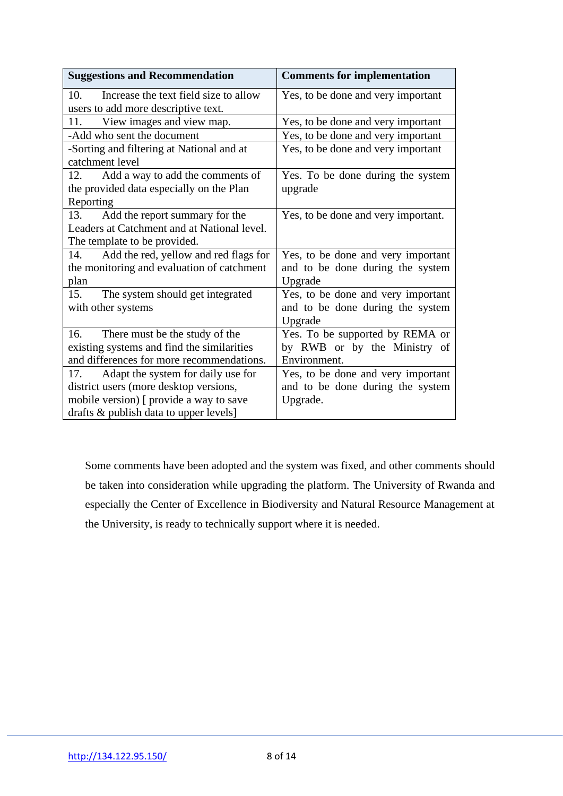| <b>Suggestions and Recommendation</b>        | <b>Comments for implementation</b>  |  |
|----------------------------------------------|-------------------------------------|--|
| Increase the text field size to allow<br>10. | Yes, to be done and very important  |  |
| users to add more descriptive text.          |                                     |  |
| View images and view map.<br>11.             | Yes, to be done and very important  |  |
| -Add who sent the document                   | Yes, to be done and very important  |  |
| -Sorting and filtering at National and at    | Yes, to be done and very important  |  |
| catchment level                              |                                     |  |
| 12.<br>Add a way to add the comments of      | Yes. To be done during the system   |  |
| the provided data especially on the Plan     | upgrade                             |  |
| Reporting                                    |                                     |  |
| Add the report summary for the<br>13.        | Yes, to be done and very important. |  |
| Leaders at Catchment and at National level.  |                                     |  |
| The template to be provided.                 |                                     |  |
| Add the red, yellow and red flags for<br>14. | Yes, to be done and very important  |  |
| the monitoring and evaluation of catchment   | and to be done during the system    |  |
| plan                                         | Upgrade                             |  |
| The system should get integrated<br>15.      | Yes, to be done and very important  |  |
| with other systems                           | and to be done during the system    |  |
|                                              | Upgrade                             |  |
| 16.<br>There must be the study of the        | Yes. To be supported by REMA or     |  |
| existing systems and find the similarities   | by RWB or by the Ministry of        |  |
| and differences for more recommendations.    | Environment.                        |  |
| Adapt the system for daily use for<br>17.    | Yes, to be done and very important  |  |
| district users (more desktop versions,       | and to be done during the system    |  |
| mobile version) [ provide a way to save      | Upgrade.                            |  |
| drafts & publish data to upper levels]       |                                     |  |

Some comments have been adopted and the system was fixed, and other comments should be taken into consideration while upgrading the platform. The University of Rwanda and especially the Center of Excellence in Biodiversity and Natural Resource Management at the University, is ready to technically support where it is needed.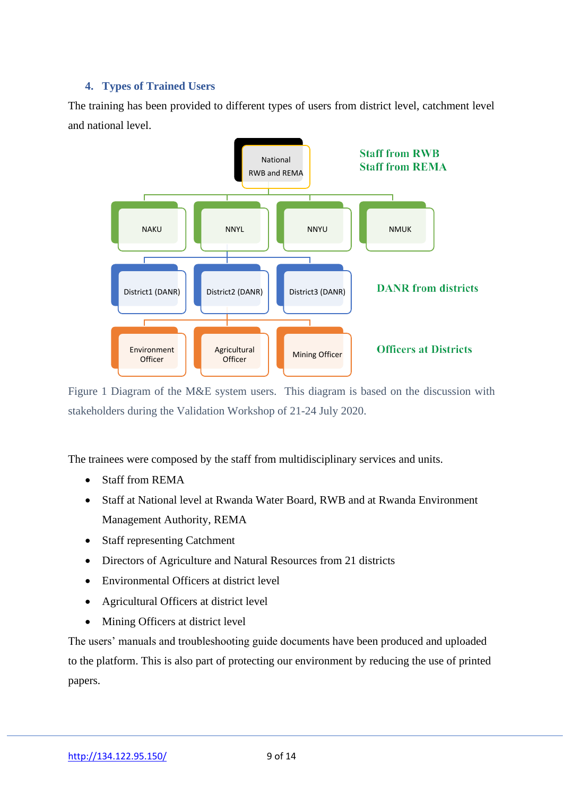# <span id="page-8-0"></span>**4. Types of Trained Users**

The training has been provided to different types of users from district level, catchment level and national level.



Figure 1 Diagram of the M&E system users. This diagram is based on the discussion with stakeholders during the Validation Workshop of 21-24 July 2020.

The trainees were composed by the staff from multidisciplinary services and units.

- Staff from REMA
- Staff at National level at Rwanda Water Board, RWB and at Rwanda Environment Management Authority, REMA
- Staff representing Catchment
- Directors of Agriculture and Natural Resources from 21 districts
- Environmental Officers at district level
- Agricultural Officers at district level
- Mining Officers at district level

The users' manuals and troubleshooting guide documents have been produced and uploaded to the platform. This is also part of protecting our environment by reducing the use of printed papers.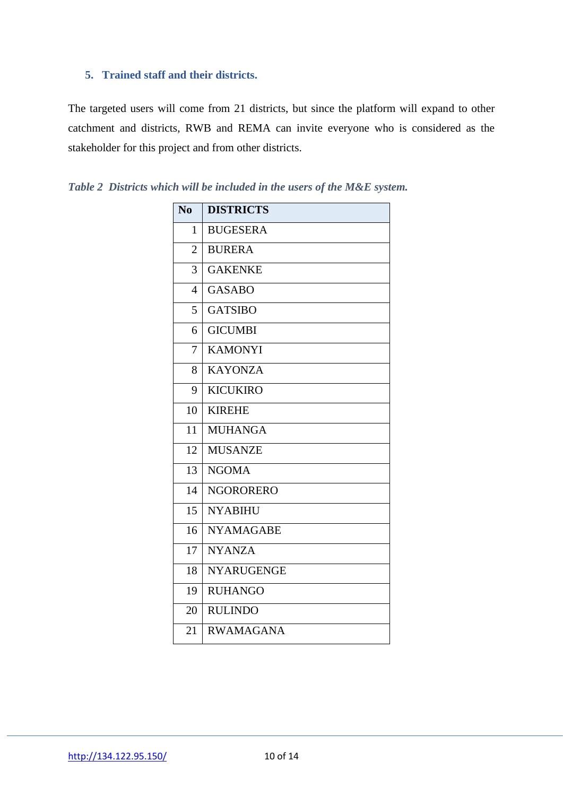## <span id="page-9-0"></span>**5. Trained staff and their districts.**

The targeted users will come from 21 districts, but since the platform will expand to other catchment and districts, RWB and REMA can invite everyone who is considered as the stakeholder for this project and from other districts.

| No             | <b>DISTRICTS</b>  |
|----------------|-------------------|
| 1              | <b>BUGESERA</b>   |
| $\overline{2}$ | <b>BURERA</b>     |
| 3              | <b>GAKENKE</b>    |
| $\overline{4}$ | <b>GASABO</b>     |
| 5              | <b>GATSIBO</b>    |
| 6              | <b>GICUMBI</b>    |
| 7              | <b>KAMONYI</b>    |
| 8              | <b>KAYONZA</b>    |
| 9              | <b>KICUKIRO</b>   |
| 10             | <b>KIREHE</b>     |
| 11             | <b>MUHANGA</b>    |
| 12             | <b>MUSANZE</b>    |
| 13             | <b>NGOMA</b>      |
| 14             | <b>NGORORERO</b>  |
| 15             | <b>NYABIHU</b>    |
| 16             | <b>NYAMAGABE</b>  |
| 17             | <b>NYANZA</b>     |
| 18             | <b>NYARUGENGE</b> |
| 19             | <b>RUHANGO</b>    |
| 20             | <b>RULINDO</b>    |
| 21             | <b>RWAMAGANA</b>  |

<span id="page-9-1"></span>*Table 2 Districts which will be included in the users of the M&E system.*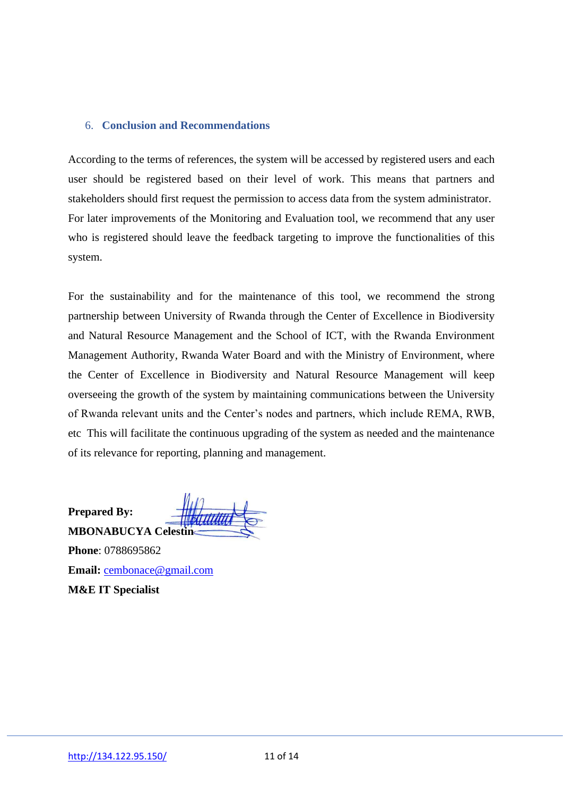#### <span id="page-10-0"></span>6. **Conclusion and Recommendations**

According to the terms of references, the system will be accessed by registered users and each user should be registered based on their level of work. This means that partners and stakeholders should first request the permission to access data from the system administrator. For later improvements of the Monitoring and Evaluation tool, we recommend that any user who is registered should leave the feedback targeting to improve the functionalities of this system.

For the sustainability and for the maintenance of this tool, we recommend the strong partnership between University of Rwanda through the Center of Excellence in Biodiversity and Natural Resource Management and the School of ICT, with the Rwanda Environment Management Authority, Rwanda Water Board and with the Ministry of Environment, where the Center of Excellence in Biodiversity and Natural Resource Management will keep overseeing the growth of the system by maintaining communications between the University of Rwanda relevant units and the Center's nodes and partners, which include REMA, RWB, etc This will facilitate the continuous upgrading of the system as needed and the maintenance of its relevance for reporting, planning and management.

**Prepared By:**

**MBONABUCYA** Celes **Phone**: 0788695862 **Email:** [cembonace@gmail.com](mailto:cembonace@gmail.com) **M&E IT Specialist**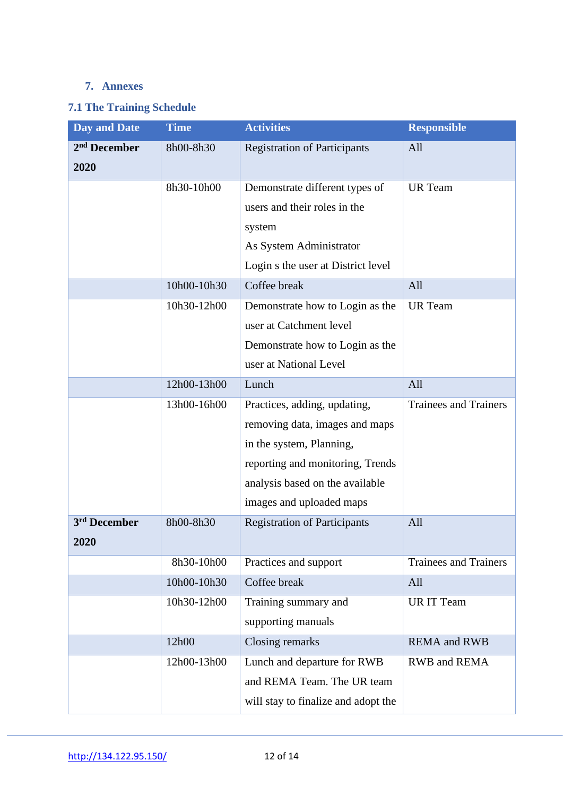# <span id="page-11-0"></span>**7. Annexes**

# <span id="page-11-1"></span>**7.1 The Training Schedule**

| <b>Day and Date</b>      | <b>Time</b> | <b>Activities</b>                   | <b>Responsible</b>           |
|--------------------------|-------------|-------------------------------------|------------------------------|
| 2 <sup>nd</sup> December | 8h00-8h30   | <b>Registration of Participants</b> | All                          |
| 2020                     |             |                                     |                              |
|                          | 8h30-10h00  | Demonstrate different types of      | <b>UR</b> Team               |
|                          |             | users and their roles in the        |                              |
|                          |             | system                              |                              |
|                          |             | As System Administrator             |                              |
|                          |             | Login s the user at District level  |                              |
|                          | 10h00-10h30 | Coffee break                        | All                          |
|                          | 10h30-12h00 | Demonstrate how to Login as the     | <b>UR</b> Team               |
|                          |             | user at Catchment level             |                              |
|                          |             | Demonstrate how to Login as the     |                              |
|                          |             | user at National Level              |                              |
|                          | 12h00-13h00 | Lunch                               | All                          |
|                          | 13h00-16h00 | Practices, adding, updating,        | <b>Trainees and Trainers</b> |
|                          |             | removing data, images and maps      |                              |
|                          |             | in the system, Planning,            |                              |
|                          |             | reporting and monitoring, Trends    |                              |
|                          |             | analysis based on the available     |                              |
|                          |             | images and uploaded maps            |                              |
| 3 <sup>rd</sup> December | 8h00-8h30   | <b>Registration of Participants</b> | All                          |
| 2020                     |             |                                     |                              |
|                          | 8h30-10h00  | Practices and support               | <b>Trainees and Trainers</b> |
|                          | 10h00-10h30 | Coffee break                        | All                          |
|                          | 10h30-12h00 | Training summary and                | <b>UR IT Team</b>            |
|                          |             | supporting manuals                  |                              |
|                          | 12h00       | Closing remarks                     | <b>REMA</b> and RWB          |
|                          | 12h00-13h00 | Lunch and departure for RWB         | RWB and REMA                 |
|                          |             | and REMA Team. The UR team          |                              |
|                          |             | will stay to finalize and adopt the |                              |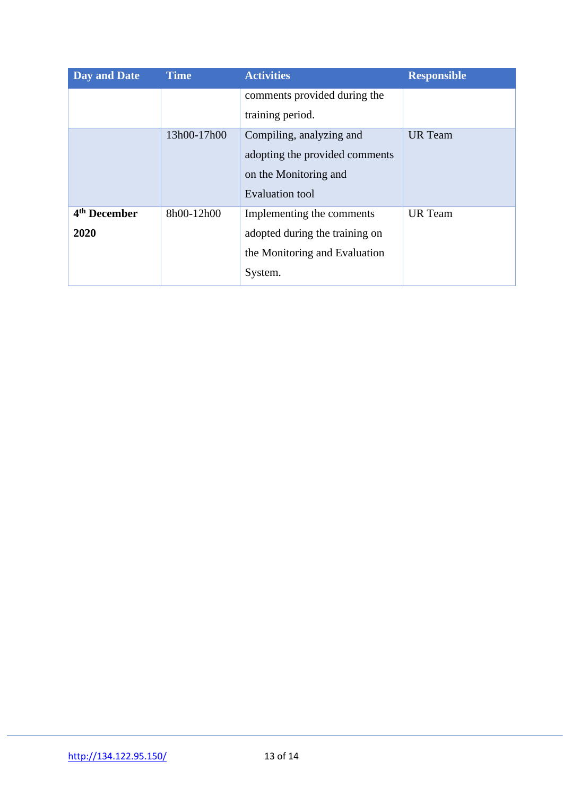| <b>Day and Date</b>      | <b>Time</b> | <b>Activities</b>              | <b>Responsible</b> |
|--------------------------|-------------|--------------------------------|--------------------|
|                          |             | comments provided during the   |                    |
|                          |             | training period.               |                    |
|                          | 13h00-17h00 | Compiling, analyzing and       | <b>UR</b> Team     |
|                          |             | adopting the provided comments |                    |
|                          |             | on the Monitoring and          |                    |
|                          |             | <b>Evaluation tool</b>         |                    |
| 4 <sup>th</sup> December | 8h00-12h00  | Implementing the comments      | <b>UR</b> Team     |
| 2020                     |             | adopted during the training on |                    |
|                          |             | the Monitoring and Evaluation  |                    |
|                          |             | System.                        |                    |